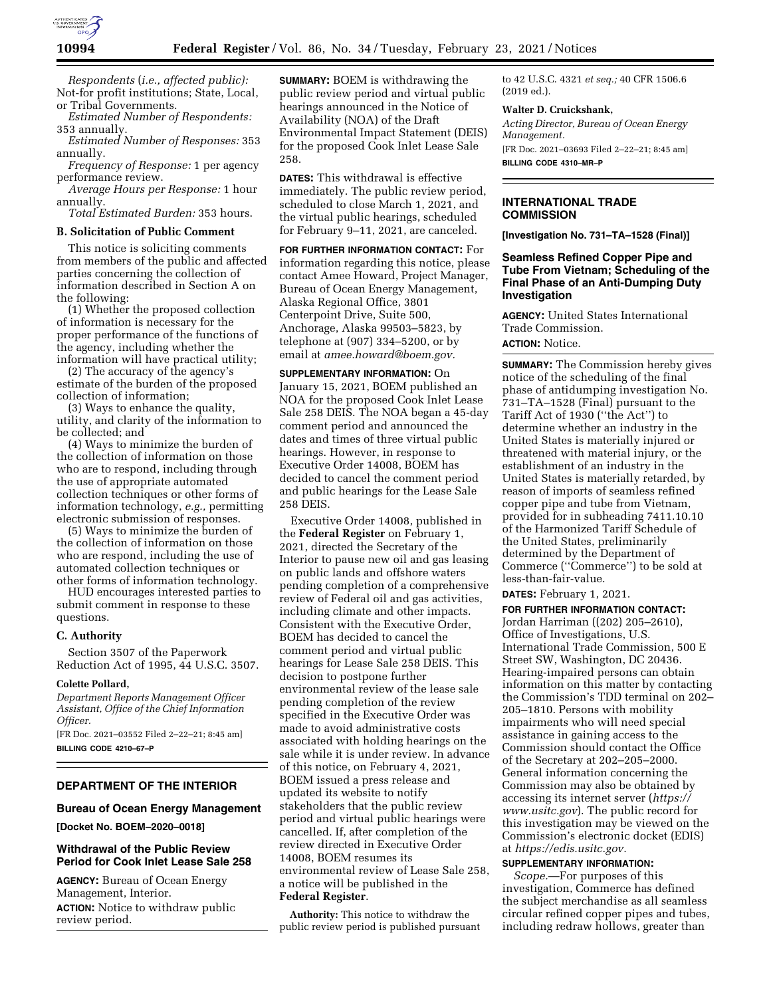

*Respondents* (*i.e., affected public):*  Not-for profit institutions; State, Local, or Tribal Governments.

*Estimated Number of Respondents:*  353 annually. *Estimated Number of Responses:* 353

annually.

*Frequency of Response:* 1 per agency performance review.

*Average Hours per Response:* 1 hour annually.

*Total Estimated Burden:* 353 hours.

## **B. Solicitation of Public Comment**

This notice is soliciting comments from members of the public and affected parties concerning the collection of information described in Section A on the following:

(1) Whether the proposed collection of information is necessary for the proper performance of the functions of the agency, including whether the information will have practical utility;

(2) The accuracy of the agency's estimate of the burden of the proposed collection of information;

(3) Ways to enhance the quality, utility, and clarity of the information to be collected; and

(4) Ways to minimize the burden of the collection of information on those who are to respond, including through the use of appropriate automated collection techniques or other forms of information technology, *e.g.,* permitting electronic submission of responses.

(5) Ways to minimize the burden of the collection of information on those who are respond, including the use of automated collection techniques or other forms of information technology.

HUD encourages interested parties to submit comment in response to these questions.

#### **C. Authority**

Section 3507 of the Paperwork Reduction Act of 1995, 44 U.S.C. 3507.

#### **Colette Pollard,**

*Department Reports Management Officer Assistant, Office of the Chief Information Officer.* 

[FR Doc. 2021–03552 Filed 2–22–21; 8:45 am] **BILLING CODE 4210–67–P** 

#### **DEPARTMENT OF THE INTERIOR**

**Bureau of Ocean Energy Management** 

**[Docket No. BOEM–2020–0018]** 

# **Withdrawal of the Public Review Period for Cook Inlet Lease Sale 258**

**AGENCY:** Bureau of Ocean Energy Management, Interior. **ACTION:** Notice to withdraw public review period.

**SUMMARY:** BOEM is withdrawing the public review period and virtual public hearings announced in the Notice of Availability (NOA) of the Draft Environmental Impact Statement (DEIS) for the proposed Cook Inlet Lease Sale 258.

**DATES:** This withdrawal is effective immediately. The public review period, scheduled to close March 1, 2021, and the virtual public hearings, scheduled for February 9–11, 2021, are canceled.

**FOR FURTHER INFORMATION CONTACT:** For information regarding this notice, please contact Amee Howard, Project Manager, Bureau of Ocean Energy Management, Alaska Regional Office, 3801 Centerpoint Drive, Suite 500, Anchorage, Alaska 99503–5823, by telephone at (907) 334–5200, or by email at *[amee.howard@boem.gov.](mailto:amee.howard@boem.gov)* 

**SUPPLEMENTARY INFORMATION:** On January 15, 2021, BOEM published an NOA for the proposed Cook Inlet Lease Sale 258 DEIS. The NOA began a 45-day comment period and announced the dates and times of three virtual public hearings. However, in response to Executive Order 14008, BOEM has decided to cancel the comment period and public hearings for the Lease Sale 258 DEIS.

Executive Order 14008, published in the **Federal Register** on February 1, 2021, directed the Secretary of the Interior to pause new oil and gas leasing on public lands and offshore waters pending completion of a comprehensive review of Federal oil and gas activities, including climate and other impacts. Consistent with the Executive Order, BOEM has decided to cancel the comment period and virtual public hearings for Lease Sale 258 DEIS. This decision to postpone further environmental review of the lease sale pending completion of the review specified in the Executive Order was made to avoid administrative costs associated with holding hearings on the sale while it is under review. In advance of this notice, on February 4, 2021, BOEM issued a press release and updated its website to notify stakeholders that the public review period and virtual public hearings were cancelled. If, after completion of the review directed in Executive Order 14008, BOEM resumes its environmental review of Lease Sale 258, a notice will be published in the **Federal Register**.

**Authority:** This notice to withdraw the public review period is published pursuant

to 42 U.S.C. 4321 *et seq.;* 40 CFR 1506.6 (2019 ed.).

#### **Walter D. Cruickshank,**

*Acting Director, Bureau of Ocean Energy Management.*  [FR Doc. 2021–03693 Filed 2–22–21; 8:45 am] **BILLING CODE 4310–MR–P** 

### **INTERNATIONAL TRADE COMMISSION**

**[Investigation No. 731–TA–1528 (Final)]** 

## **Seamless Refined Copper Pipe and Tube From Vietnam; Scheduling of the Final Phase of an Anti-Dumping Duty Investigation**

**AGENCY:** United States International Trade Commission. **ACTION:** Notice.

**SUMMARY:** The Commission hereby gives notice of the scheduling of the final phase of antidumping investigation No. 731–TA–1528 (Final) pursuant to the Tariff Act of 1930 (''the Act'') to determine whether an industry in the United States is materially injured or threatened with material injury, or the establishment of an industry in the United States is materially retarded, by reason of imports of seamless refined copper pipe and tube from Vietnam, provided for in subheading 7411.10.10 of the Harmonized Tariff Schedule of the United States, preliminarily determined by the Department of Commerce (''Commerce'') to be sold at less-than-fair-value.

**DATES:** February 1, 2021.

**FOR FURTHER INFORMATION CONTACT:**  Jordan Harriman ((202) 205–2610), Office of Investigations, U.S. International Trade Commission, 500 E Street SW, Washington, DC 20436. Hearing-impaired persons can obtain information on this matter by contacting the Commission's TDD terminal on 202– 205–1810. Persons with mobility impairments who will need special assistance in gaining access to the Commission should contact the Office of the Secretary at 202–205–2000. General information concerning the Commission may also be obtained by accessing its internet server (*[https://](https://www.usitc.gov) [www.usitc.gov](https://www.usitc.gov)*). The public record for this investigation may be viewed on the Commission's electronic docket (EDIS) at *[https://edis.usitc.gov.](https://edis.usitc.gov)* 

# **SUPPLEMENTARY INFORMATION:**

*Scope.*—For purposes of this investigation, Commerce has defined the subject merchandise as all seamless circular refined copper pipes and tubes, including redraw hollows, greater than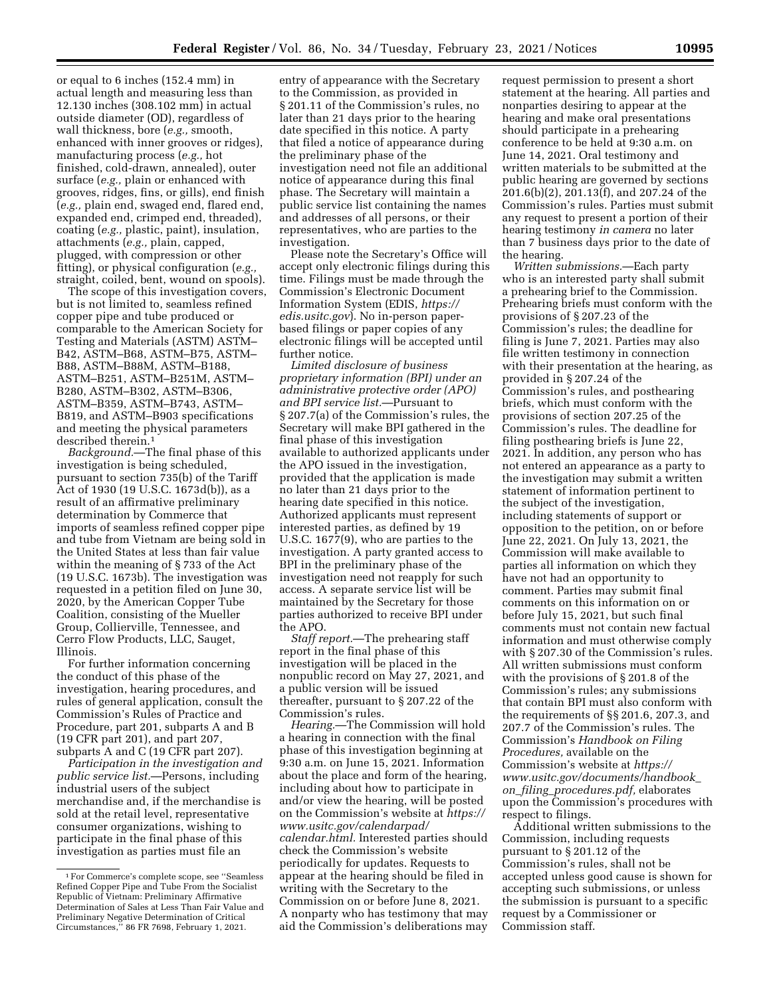or equal to 6 inches (152.4 mm) in actual length and measuring less than 12.130 inches (308.102 mm) in actual outside diameter (OD), regardless of wall thickness, bore (*e.g.,* smooth, enhanced with inner grooves or ridges), manufacturing process (*e.g.,* hot finished, cold-drawn, annealed), outer surface (*e.g.,* plain or enhanced with grooves, ridges, fins, or gills), end finish (*e.g.,* plain end, swaged end, flared end, expanded end, crimped end, threaded), coating (*e.g.,* plastic, paint), insulation, attachments (*e.g.,* plain, capped, plugged, with compression or other fitting), or physical configuration (*e.g.,*  straight, coiled, bent, wound on spools).

The scope of this investigation covers, but is not limited to, seamless refined copper pipe and tube produced or comparable to the American Society for Testing and Materials (ASTM) ASTM– B42, ASTM–B68, ASTM–B75, ASTM– B88, ASTM–B88M, ASTM–B188, ASTM–B251, ASTM–B251M, ASTM– B280, ASTM–B302, ASTM–B306, ASTM–B359, ASTM–B743, ASTM– B819, and ASTM–B903 specifications and meeting the physical parameters described therein.1

*Background.*—The final phase of this investigation is being scheduled, pursuant to section 735(b) of the Tariff Act of 1930 (19 U.S.C. 1673d(b)), as a result of an affirmative preliminary determination by Commerce that imports of seamless refined copper pipe and tube from Vietnam are being sold in the United States at less than fair value within the meaning of § 733 of the Act (19 U.S.C. 1673b). The investigation was requested in a petition filed on June 30, 2020, by the American Copper Tube Coalition, consisting of the Mueller Group, Collierville, Tennessee, and Cerro Flow Products, LLC, Sauget, Illinois.

For further information concerning the conduct of this phase of the investigation, hearing procedures, and rules of general application, consult the Commission's Rules of Practice and Procedure, part 201, subparts A and B (19 CFR part 201), and part 207, subparts A and C (19 CFR part 207).

*Participation in the investigation and public service list.*—Persons, including industrial users of the subject merchandise and, if the merchandise is sold at the retail level, representative consumer organizations, wishing to participate in the final phase of this investigation as parties must file an

entry of appearance with the Secretary to the Commission, as provided in § 201.11 of the Commission's rules, no later than 21 days prior to the hearing date specified in this notice. A party that filed a notice of appearance during the preliminary phase of the investigation need not file an additional notice of appearance during this final phase. The Secretary will maintain a public service list containing the names and addresses of all persons, or their representatives, who are parties to the investigation.

Please note the Secretary's Office will accept only electronic filings during this time. Filings must be made through the Commission's Electronic Document Information System (EDIS, *[https://](https://edis.usitc.gov) [edis.usitc.gov](https://edis.usitc.gov)*). No in-person paperbased filings or paper copies of any electronic filings will be accepted until further notice.

*Limited disclosure of business proprietary information (BPI) under an administrative protective order (APO) and BPI service list.*—Pursuant to § 207.7(a) of the Commission's rules, the Secretary will make BPI gathered in the final phase of this investigation available to authorized applicants under the APO issued in the investigation, provided that the application is made no later than 21 days prior to the hearing date specified in this notice. Authorized applicants must represent interested parties, as defined by 19 U.S.C. 1677(9), who are parties to the investigation. A party granted access to BPI in the preliminary phase of the investigation need not reapply for such access. A separate service list will be maintained by the Secretary for those parties authorized to receive BPI under the APO.

*Staff report.*—The prehearing staff report in the final phase of this investigation will be placed in the nonpublic record on May 27, 2021, and a public version will be issued thereafter, pursuant to § 207.22 of the Commission's rules.

*Hearing.*—The Commission will hold a hearing in connection with the final phase of this investigation beginning at 9:30 a.m. on June 15, 2021. Information about the place and form of the hearing, including about how to participate in and/or view the hearing, will be posted on the Commission's website at *[https://](https://www.usitc.gov/calendarpad/calendar.html) [www.usitc.gov/calendarpad/](https://www.usitc.gov/calendarpad/calendar.html)  [calendar.html.](https://www.usitc.gov/calendarpad/calendar.html)* Interested parties should check the Commission's website periodically for updates. Requests to appear at the hearing should be filed in writing with the Secretary to the Commission on or before June 8, 2021. A nonparty who has testimony that may aid the Commission's deliberations may

request permission to present a short statement at the hearing. All parties and nonparties desiring to appear at the hearing and make oral presentations should participate in a prehearing conference to be held at 9:30 a.m. on June 14, 2021. Oral testimony and written materials to be submitted at the public hearing are governed by sections 201.6(b)(2), 201.13(f), and 207.24 of the Commission's rules. Parties must submit any request to present a portion of their hearing testimony *in camera* no later than 7 business days prior to the date of the hearing.

*Written submissions.*—Each party who is an interested party shall submit a prehearing brief to the Commission. Prehearing briefs must conform with the provisions of § 207.23 of the Commission's rules; the deadline for filing is June 7, 2021. Parties may also file written testimony in connection with their presentation at the hearing, as provided in § 207.24 of the Commission's rules, and posthearing briefs, which must conform with the provisions of section 207.25 of the Commission's rules. The deadline for filing posthearing briefs is June 22, 2021. In addition, any person who has not entered an appearance as a party to the investigation may submit a written statement of information pertinent to the subject of the investigation, including statements of support or opposition to the petition, on or before June 22, 2021. On July 13, 2021, the Commission will make available to parties all information on which they have not had an opportunity to comment. Parties may submit final comments on this information on or before July 15, 2021, but such final comments must not contain new factual information and must otherwise comply with § 207.30 of the Commission's rules. All written submissions must conform with the provisions of § 201.8 of the Commission's rules; any submissions that contain BPI must also conform with the requirements of §§ 201.6, 207.3, and 207.7 of the Commission's rules. The Commission's *Handbook on Filing Procedures,* available on the Commission's website at *[https://](https://www.usitc.gov/documents/handbook_on_filing_procedures.pdf) [www.usitc.gov/documents/handbook](https://www.usitc.gov/documents/handbook_on_filing_procedures.pdf)*\_ *on*\_*filing*\_*[procedures.pdf,](https://www.usitc.gov/documents/handbook_on_filing_procedures.pdf)* elaborates upon the Commission's procedures with respect to filings.

Additional written submissions to the Commission, including requests pursuant to § 201.12 of the Commission's rules, shall not be accepted unless good cause is shown for accepting such submissions, or unless the submission is pursuant to a specific request by a Commissioner or Commission staff.

<sup>1</sup>For Commerce's complete scope, see ''Seamless Refined Copper Pipe and Tube From the Socialist Republic of Vietnam: Preliminary Affirmative Determination of Sales at Less Than Fair Value and Preliminary Negative Determination of Critical Circumstances,'' 86 FR 7698, February 1, 2021.